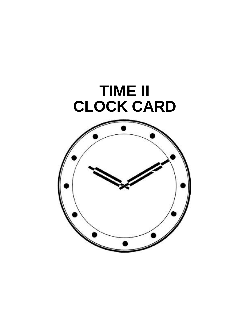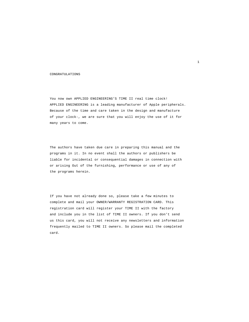#### CONGRATULATIONS

You now own APPLIED ENGINEERING'S TIME II real time clock! APPLIED ENGINEERING is a leading manufacturer of Apple peripherals. Because of the time and care taken in the design and manufacture of your clock-, we are sure that you will enjoy the use of it for many years to come.

The authors have taken due care in preparing this manual and the programs in it. In no event shall the authors or publishers be liable for incidental or consequential damages in connection with or arising Out of the furnishing, performance or use of any of the programs herein.

If you have not already done so, please take a few minutes to complete and mail your OWNER/WARRANTY REGISTRATION CARD. This registration card will register your TIME II with the factory and include you in the list of TIME II owners. If you don't send us this card, you will not receive any newsletters and information frequently mailed to TIME II owners. So please mail the completed card.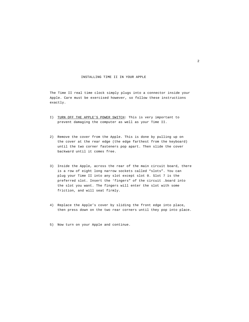#### INSTALLING TIME II IN YOUR APPLE

The Time II real time clock simply plugs into a connector inside your Apple. Care must be exercised however, so follow these instructions exactly.

- I) TURN OFF THE APPLE'S POWER SWITCH: This is very important to prevent damaging the computer as well as your Time II.
- 2) Remove the cover from the Apple. This is done by pulling up on the cover at the rear edge (the edge farthest from the keyboard) until the two corner fasteners pop apart. Then slide the cover backward until it comes free.
- 3) Inside the Apple, across the rear of the main circuit board, there is a row of eight long narrow sockets called "slots". You can plug your Time II into any slot except slot 0. Slot 7 is the preferred slot. Insert the 'fingers" of the circuit .board into the slot you want. The fingers will enter the slot with some friction, and will seat firmly.
- 4) Replace the Apple's cover by sliding the front edge into place, then press down on the two rear corners until they pop into place.
- 5) Now turn on your Apple and continue.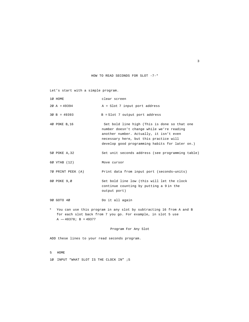HOW TO READ SECONDS FOR SLOT -7-\*

Let's start with a simple program.

|         | 10 HOME                 | clear screen                                                                                                                                                                                                                     |
|---------|-------------------------|----------------------------------------------------------------------------------------------------------------------------------------------------------------------------------------------------------------------------------|
|         | $2\emptyset$ A = 49394  | $A =$ Slot 7 input port address                                                                                                                                                                                                  |
|         | $30 B = 49393$          | $B = Slot$ 7 output port address                                                                                                                                                                                                 |
|         | 40 POKE B, 16           | Set bold line high (This is done so that one<br>number doesn't change while we're reading<br>another number. Actually, it isn't even<br>necessary here, but this practice will<br>develop good programming habits for later on.) |
|         | 50 POKE A, 32           | Set unit seconds address (see programming table)                                                                                                                                                                                 |
|         | 60 VTAB (12)            | Move cursor                                                                                                                                                                                                                      |
|         | 70 PRINT PEEK (A)       | Print data from input port (seconds-units)                                                                                                                                                                                       |
|         | 80 POKE 9,0             | Set bold line low (this will let the clock<br>continue counting by putting a 9 in the<br>output port)                                                                                                                            |
|         | 90 GOTO 40              | Do it all again                                                                                                                                                                                                                  |
| $\star$ | $A - 40378$ ; B = 49377 | You can use this program in any slot by subtracting 16 from A and B<br>for each slot back from 7 you go. For example, in slot 5 use                                                                                              |

Program For Any Slot

ADD these lines to your read seconds program.

5 HOME

1Ø INPUT "WHAT SLOT IS THE CLOCK IN" ;S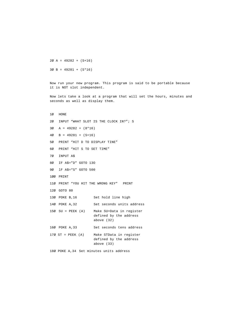2Ø A = 49282 + (S+16) 3Ø B = 49281 + (S\*16)

Now run your new program. This program is said to be portable because it is NOT slot independent.

Now lets take a look at a program that will set the hours, minutes and seconds as well as display them.

1Ø HONE 2Ø INPUT "WHAT SLOT IS THE CLOCK IN?"; S 3Ø A = 49282 + (8\*16) 4Ø B = 49281 + (S+16) 5Ø PRINT "HIT D TO DISPLAY TINE" 6Ø PRINT "HIT S TO SET TIME" 7Ø INPUT A\$ 8Ø IF A\$="D" GOTO 13O 9Ø lF A\$="S" GOTO 500 1ØØ PRINT 11Ø PRINT "YOU HIT THE WRONG KEY" PRINT 12Ø GOTO 80 13Ø POKE B,16 Set hold line high 14Ø POKE A,32 Set seconds units address 15Ø SU = PEEK (A) Make SU=Data in register defined by the address above (32) 16Ø POKE A, 33 Set seconds tens address 17Ø ST = PEEK (A) Make STData in register defined by the address above (33) 18Ø POKE A,34 Set minutes units address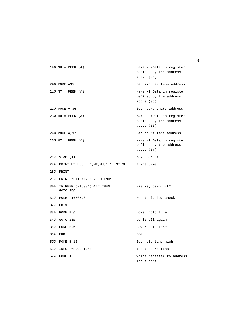```
19Ø MU = PEEK (A) Hake MU=Data in register 
                                  defined by the address 
                                  above (34)
200 POKE A35 Set minutes tens address
21Ø MT = PEEK (A) Hake MT=Data in register 
                                  defined by the address 
                                  above (35)
22Ø POKE A,36 Set hours units address
23Ø HU = PEEK (A) MAKE HU=Data in register 
                                  defined by the address 
                                  above (36)
24Ø POKE A, 37 Set hours tens address
25Ø HT = PEEK (A) Make HT=Data in register 
                                  defined by the address 
                                  above (37)
26Ø VTAB (1) Move Cursor
27Ø PRINT HT;HU;" :";MT;MU;":" ;ST;SU Print time
28Ø PRINT
29Ø PRINT "HIT ANY KEY TO END"
3ØØ IF PEEK (-16384)>127 THEN Has key been hit? 
   GOTO 35Ø
31Ø POKE -16368,Ø Reset hit key check
32Ø PRINT
33Ø POKE B,Ø Lower hold line
34Ø GOTO 13Ø Do it all again
35Ø POKE B,Ø Lower hold line
36Ø END End
500 POKE B, 16 Set hold line high
51Ø INPUT "HOUR TENS" HT
SOME TENS HET STATE READ THE LOOP OF THE STATE OF THE STATE OF THE STATE OF THE STATE OF THE STATE OF THE STATE OF THE STATE OF THE STATE OF THE STATE OF THE STATE OF THE STATE OF THE STATE OF THE 
52Ø POKE A,5 Write register to address 
                                  input part
```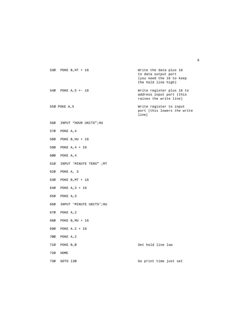```
53Ø POKE B,HT + 16 Write the data plus 16 
                                   to data output port 
                                   (you need the 16 to keep 
                                   the hold line high)
54Ø POKE A,5 +- 16 Write register plus 16 to 
                                   address input port (this 
                                   raises the write line)
55Ø POKE A,5 Write register to input 
                                   port (this lowers the write 
                                   line)
56Ø INPUT "HOUR UNITS";HU
57Ø POKE A,4
58Ø POKE B,HU + 16
59Ø POKE A,4 + 16
6ØØ POKE A,4
61Ø INPUT 'MINUTE TENS" ;MT
62Ø POKE A, 3
63Ø POKE B,MT + 16
64Ø POKE A,3 + 16
65Ø POKE A,3
66Ø INPUT 'MINUTE UNITS';HU
67Ø POKE A,2
68Ø POKE B,MU + 16
69Ø POKE A.2 + 16
7ØØ POKE A,2
71Ø POKE B,Ø Set hold line low
72Ø HOME
73Ø GOTO l3Ø Go print time just set
```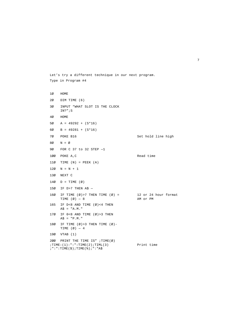```
1Ø HOME
2Ø DIM TIME (6)
3Ø INPUT "WHAT SLOT IS THE CLOCK 
    IN?";S
4Ø HOME
5Ø A = 49292 + (S*16)
6Ø B = 49281 + (S*16)
7Ø POKE B16 Set hold line high
8Ø N = Ø
9Ø FOR C 37 to 32 STEP —1
1ØØ POKE A,C Read time
11\emptyset TIME (N) = PEEK (A)12Ø N = N + 113Ø NEXT C
14\emptyset D = TIME (\emptyset)15Ø IF D>7 THEN A$ —
16Ø IF TIME (\emptyset) > 7 THEN TIME (\emptyset) = 12 or 24 hour format<br>TIME (\emptyset) - 8 AM or PM
    TIME (\emptyset) - 8165 IF D<8 AND TIME (Ø)<4 THEN 
    A$ = "A.M."
17Ø IF 0<8 AND TIME (Ø)>3 THEN
    A$ = "P.M."
18Ø IF TIME (\emptyset)>3 THEN TIME (\emptyset)-
    TIME (Ø) — 4
19Ø VTAB (1)
2ØØ PRINT THE TIME IS" ;TIME(Ø)
jTIME:(1): ": ":TIME(2); TIML(3) Print time
; " : " : TIME(\$) ; TIME(\$) ; " : "A$
```
Let's try a different technique in our next program.

Type in Program #4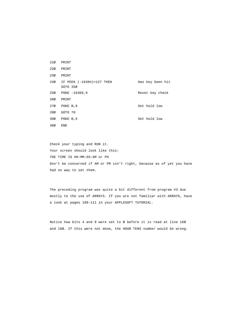| 21Ø | PRINT                                     |                  |
|-----|-------------------------------------------|------------------|
| 22Ø | PRINT                                     |                  |
| 230 | PRINT                                     |                  |
|     | 240 IF PEEK (-16384)>127 THEN<br>GOTO 350 | Has key been hit |
| 25Ø | POKE -16368,9                             | Reset key check  |
| 26Ø | PRINT                                     |                  |
| 27Ø | POKE B, 9                                 | Set hold low     |
| 28Ø | GOTO 70                                   |                  |
| 39Ø | POKE B, 9                                 | Set hold low     |
| 36Ø | END                                       |                  |

Check your typing and RUN it. Your screen should look like this: THE TIME IS HH:MM:SS:AM or PH Don't be concerned if AM or PM isn't right, because as of yet you have had no way to set them.

The preceding program was quite a bit different from program #3 due mostly to the use of ARRAYS. If you are not familiar with ARRAYS, have a look at pages 108-111 in your APPLESOFT TUTORIAL.

Notice how bits 4 and 8 were set to Ø before it is read at line 16Ø and l8Ø. If this were not done, the HOUR TENS number would be wrong.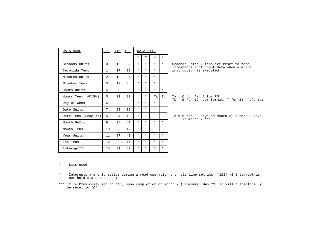| DATA NAME           | REG            | $+16$ | $+32$          | DATA BITS |                |         |         |                                                                           |
|---------------------|----------------|-------|----------------|-----------|----------------|---------|---------|---------------------------------------------------------------------------|
|                     |                |       |                | 1         | $\overline{a}$ | 4       | 8       |                                                                           |
| Seconds Units       | $\Omega$       | 16    | 32             | $\star$   | $\star$        | $\star$ | $\star$ | Seconds units & tens are reset to zero                                    |
| Secoxida Tens       | $\mathbf{1}$   | 17    | 33             | $\star$   | $\star$        | $\star$ |         | irrespective of input data when a write<br>instruction is executed        |
| Minutes Units       | $\overline{a}$ | 18    | 34             | $\star$   | $\star$        | $\star$ |         |                                                                           |
| Minutes Tens        | $\overline{3}$ | 19    | 3 <sub>h</sub> | $\star$   | $\star$        | $\star$ |         |                                                                           |
| Hours Units         | 4              | 20    | 36             | $\star$   | $\star$        | $\star$ | $\star$ |                                                                           |
| Hours Tens (AM/PM)  | 5.             | 21    | 37             |           | $\star$        | Ta      | Th      | Ta = $\emptyset$ for AM, 1 for PM                                         |
| Day of Week         | б.             | 22    | 38             | $\star$   | $\star$        | $\star$ |         | Tb = $\emptyset$ for 12 hour format, T for 24 hr.format                   |
| Date Units          | 7              | 23    | 39             | $\star$   | $\star$        | $\star$ |         |                                                                           |
| Date Tens (Leap Yr) | S              | 24    | 40             | $\star$   | $\star$        |         |         | Tc = $\emptyset$ for 28 days in month 2, 1 for 29 days<br>In month $2***$ |
| Month UnIts         | 9              | 25    | 41             | $\star$   | $\star$        | $\star$ | $\star$ |                                                                           |
| Month Tens          | 10             | 26    | 42             | $\star$   |                |         |         |                                                                           |
| Year Units          | 11             | 27    | 43             | $\ast$    | $\star$        | $\star$ | $\star$ |                                                                           |
| Tea Tens            | 12             | 28.   | 44             | $\star$   | $\star$        | $\star$ | $\star$ |                                                                           |
| Interupt**          | 15             | 31    | 47             | $\star$   | $\star$        | $\star$ | $\star$ |                                                                           |
|                     |                |       |                |           |                |         |         |                                                                           |

\* Bits Used

- \*\* Interupts are only active during a read operation and hold line set low. (1Ø24 HZ interrupt is not hold state dependent
- \*\*\* If Te Previously set to "1", upon completion of month 2 (February) day 29, Tc will automatically be reset to "Ø"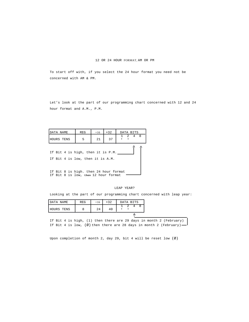## 12 OR 24 HOUR FORMAT, AM OR PM

To start off with, if you select the 24 hour format you need not be concerned with AM & PM.

Let's look at the part of our programming chart concerned with 12 and 24 hour format and A.M., P.M.

| DATA NAME                                                             | <b>REG</b>                                                                    | $+32$<br>$+16$<br>DATA BITS |  |  |  |         |  |  |
|-----------------------------------------------------------------------|-------------------------------------------------------------------------------|-----------------------------|--|--|--|---------|--|--|
| HOURS TENS                                                            | 5                                                                             | 37<br>21                    |  |  |  | 1 2 4 8 |  |  |
| If Bit 4 is high, then it is P.M.<br>If Bit 4 is low, then it is A.M. |                                                                               |                             |  |  |  |         |  |  |
|                                                                       | If Bit 8 is high. then 24 hour format<br>If Bit 8 is low, then 12 hour format |                             |  |  |  |         |  |  |

# LEAP YEAR?

Looking at the part of our programming chart concerned with leap year:

| DATA NAME  | <b>REG</b> | $+16$ | $+32$ |  | DATA BITS |  |
|------------|------------|-------|-------|--|-----------|--|
| HOURS TENS |            | 24    | 40    |  |           |  |
|            |            |       |       |  |           |  |

If Bit 4 is high, (1) then there are 29 days in month 2 (February) If Bit 4 is low,  $(\emptyset)$  then there are 28 days in month 2 (February) -

Upon completion of month 2, day 29, bit 4 will be reset low (Ø)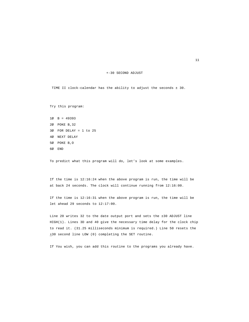#### +-30 SECOND ADJUST

TIME II clock-calendar has the ability to adjust the seconds ± 30.

Try this program:

1Ø B = 49393 2Ø POKE B,32 3Ø FOR DELAY = 1 to 25 4Ø NEXT DELAY 5Ø POKE B,O 6Ø END

To predict what this program will do, let's look at some examples.

If the time is 12:16:24 when the above program is run, the time will be at back 24 seconds. The clock will continue running from 12:16:00.

If the time is 12:16:31 when the above program is run, the time will be let ahead 29 seconds to 12:17:00.

Line 20 writes 32 to the date output port and sets the ±30 ADJUST line HIGH(1). Lines 3D and 40 give the necessary time delay for the clock chip to read it. (31.25 milliseconds minimum is required.) Line 50 resets the  $\pm 30$  second line LOW (0) completing the SET routine.

If You wish, you can add this routine to the programs you already have.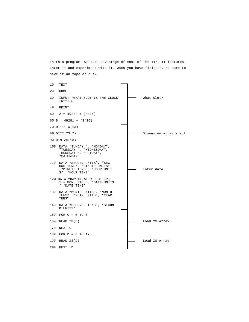In this program, we take advantage of most of the TIME II features. Enter it and experiment with it. When you have finished, be sure to save it on tape or d~sk.

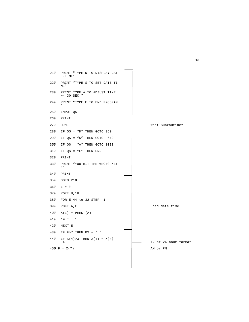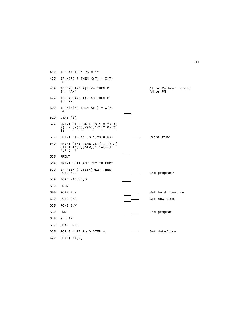| 46Ø | IF $F > 7$ THEN $P\hat{S} = "$                                                                          |  |                                  |
|-----|---------------------------------------------------------------------------------------------------------|--|----------------------------------|
| 47Ø | IF $X(7) > 7$ THEN $X(7) = X(7)$<br>$-8$                                                                |  |                                  |
| 48Ø | IF $F < 6$ AND $X(7) < 4$ THEN P<br>$S = "AM"$                                                          |  | 12 or 24 hour format<br>AM or PM |
| 49Ø | IF $F < 8$ AND $X(7) > 3$ THEN P<br>$\hat{s}$ = "PM"                                                    |  |                                  |
| 500 | IF $X(7) > 3$ THEN $X(7) = X(7)$<br>$-4$                                                                |  |                                  |
|     | $51\% - VTAB$ (1)                                                                                       |  |                                  |
| 52Ø | PRINT "THE DATE IS " $iX(2) iX($<br>$3$ ; " / " ; $X(4)$ ; $X(5)$ ; " / " ; $X(\emptyset)$ ; $X($<br>1) |  |                                  |
| 53Ø | PRINT "TODAY IS " $iY\$ (X(6))                                                                          |  | Print time                       |
| 54Ø | PRINT "THE TIME IS ";X(7);X(<br>$8) ; " : " ; X(9) ; X(\emptyset) ; " : "X(11) ;$<br>$X(12)$ P\$        |  |                                  |
| 55Ø | PRINT                                                                                                   |  |                                  |
| 56Ø | PRINT "HIT ANY KEY TO END"                                                                              |  |                                  |
| 57Ø | IF PEEK $(-16384)$ >L27 THEN<br>GOTO 620                                                                |  | End program?                     |
| 58Ø | POKE $-16368,0$                                                                                         |  |                                  |
| 590 | PRINT                                                                                                   |  |                                  |
| 600 | POKE B, 0                                                                                               |  | Set hold line low                |
| 610 | GOTO 369                                                                                                |  | Get new time                     |
| 62Ø | POKE B, W                                                                                               |  |                                  |
| 630 | <b>END</b>                                                                                              |  | End program                      |
| 640 | $G = 12$                                                                                                |  |                                  |
| 65Ø | POKE B, 16                                                                                              |  |                                  |
| 66Ø | FOR $G = 12$ to 0 STEP $-1$                                                                             |  | Set date/time                    |
| 67Ø | PRINT $Z\$ (G)                                                                                          |  |                                  |
|     |                                                                                                         |  |                                  |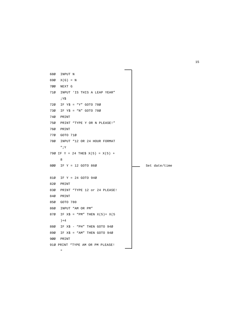```
68Ø INPUT N
69Ø X(G) = N
7ØØ NEXT G
71Ø INPUT 'IS THIS A LEAP YEAR"
       ;Y$
72Ø IF Y$ = "Y" GOTO 78Ø
73Ø IF Y$ = "N" GOTO 78Ø
74Ø PRINT
75Ø PRINT "TYPE Y OR N PLEASE!"
76Ø PRINT
77Ø GOTO 71Ø
78Ø INPUT "12 OR 24 HOUR FORMAT
       ";Y
79Ø IF Y = 24 THE$ X(5) = X(5) +8
800 IF Y = 12 GOTO 860 \frac{1}{\sqrt{1-\frac{1}{\sqrt{1-\frac{1}{\sqrt{1-\frac{1}{\sqrt{1-\frac{1}{\sqrt{1-\frac{1}{\sqrt{1-\frac{1}{\sqrt{1-\frac{1}{\sqrt{1-\frac{1}{\sqrt{1-\frac{1}{\sqrt{1-\frac{1}{\sqrt{1-\frac{1}{\sqrt{1-\frac{1}{\sqrt{1-\frac{1}{\sqrt{1-\frac{1}{\sqrt{1-\frac{1}{\sqrt{1-\frac{1}{\sqrt{1-\frac{1}{\sqrt{1-\frac{1}{\sqrt{1-\frac{1}{\sqrt{1-\frac{1}{\sqrt{1-\frac{1}{\sqrt{181Ø IF Y = 24 GOTO 94Ø
82Ø PRINT
83Ø PRINT "TYPE 12 or 24 PLEASE!
84Ø PRINT
85Ø GOTO 780
86Ø INPUT "AM OR PM"
87Ø IF X\ = "PM" THEN X(5) = X(5)) + 488Ø IF X$ - "PH" THEN GOTO 94Ø
89Ø IF X$ = "AM" THEN GOTO 94Ø
9ØØ PRINT
91Ø PRINT "TYPE AM OR PM PLEASE!
        \mathbf{u}^{\dagger}
```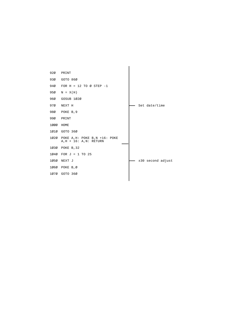| 920  | PRINT                                                       |                   |
|------|-------------------------------------------------------------|-------------------|
| 93Ø  | GOTO 86Ø                                                    |                   |
| 940  | FOR $H = 12$ TO Ø STEP $-1$                                 |                   |
| 95Ø  | $N = X(H)$                                                  |                   |
| 96Ø  | GOSUB 1020                                                  |                   |
| 97Ø  | NEXT H                                                      | Set date/time     |
| 98Ø  | POKE B, 9                                                   |                   |
| 99Ø  | PRINT                                                       |                   |
| 1000 | HOME                                                        |                   |
| 1010 | GOTO 36Ø                                                    |                   |
| 1020 | POKE A, H: POKE B, N +16: POKE<br>$A, H + 16: A, N: RETURN$ |                   |
| 1030 | POKE B, 32                                                  |                   |
| 1040 | FOR $J = 1$ TO 25                                           |                   |
| 1050 | NEXT J                                                      | ±30 second adjust |
| 1060 | POKE B,Ø                                                    |                   |
| 1070 | GOTO 36Ø                                                    |                   |
|      |                                                             |                   |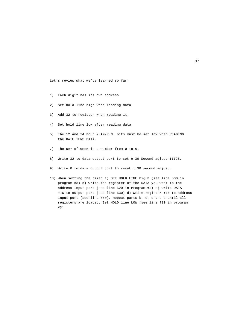Let's review what we've learned so far:

- 1) Each digit has its own address.
- 2) Set hold line high when reading data.
- 3) Add 32 to register when reading it.
- 4) Set hold line low after reading data.
- 5) The 12 and 24 hour & AM/P.M. bits must be set low when READING the DATE TENS DATA.
- 7) The DAY of WEEK is a number from Ø to 6.
- 8) Write 32 to data output port to set ± 30 Second adjust 111GB.
- 9) Write 0 to data output port to reset ± 30 second adjust.
- 10) When setting the time: a) SET HOLD LINE hig~h (see line 500 in program #3) b) write the register of the DATA you want to the address input port (see line 520 in Program #3) c) write DATA +16 to output port (see line 530) d) write register +16 to address input port (see line 550). Repeat parts b, c, d and e until all registers are loaded. Set HOLD line LOW (see line 710 in program #3)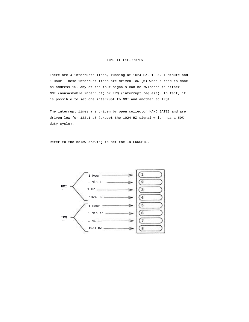## TIME II INTERRUPTS

There are 4 interrupts lines, running at 1024 HZ, 1 HZ, 1 Minute and 1 Hour. These interrupt lines are driven low (Ø) when a read is done on address 15. Any of the four signals can be switched to either NMI (nonsaskable interrupt) or IRQ (interrupt request). In fact, it is possible to set one interrupt to NMI and another to IRQ!

The interrupt lines are driven by open collector HAND GATES and are driven low for 122.1 aS (except the 1024 HZ signal which has a 50% duty cycle).

Refer to the below drawing to set the INTERRUPTS.

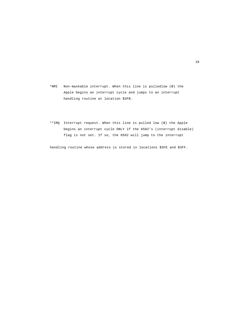- \*NMI Non-maskable interrupt. When this line is pulledlow (Ø) the Apple begins an interrupt cycle and jumps to an interrupt handling routine at location \$3FB.
- \*\*IRQ Interrupt request. When this line is pulled low (Ø) the Apple begins an interrupt cycle ONLY if the 6502's (interrupt disable) flag is not set. If so, the 6502 will jump to the interrupt

handling routine whose address is stored in locations \$3FE and \$3FF.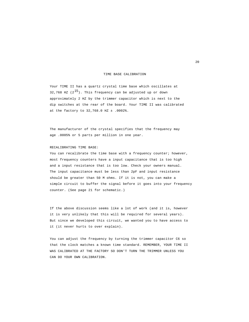### TIME BASE CALIBRATION

Your TIME II has a quartz crystal time base which oscillates at 32,768 HZ  $(2^{15})$ . This frequency can be adjusted up or down approximately 2 HZ by the trimmer capacitor which is next to the dip switches at the rear of the board. Your TIME II was calibrated at the factory to 32,768.0 HZ ± .0002%.

The manufacturer of the crystal specifies that the frequency may age .0005% or 5 parts per million in one year.

## RECALIBRATING TIME BASE:

You can recalibrate the time base with a frequency counter; however, most frequency counters have a input capacitance that is too high and a input resistance that is too low. Check your owners manual. The input capacitance must be less than 2pF and input resistance should be greater than 50 M ohms. If it is not, you can make a simple circuit to buffer the signal before it goes into your frequency counter. (See page 21 for schematic.)

If the above discussion seems like a lot of work (and it is, however it is very unlikely that this will be required for several years). But since we developed this circuit, we wanted you to have access to it (it never hurts to over explain).

You can adjust the frequency by turning the trimmer capacitor C6 so that the clock matches a known time standard. REMEMBER, YOUR TIME II WAS CALIBRATED AT THE FACTORY SO DON'T TURN THE TRIMMER UNLESS YOU CAN DO YOUR OWN CALIBRATION.